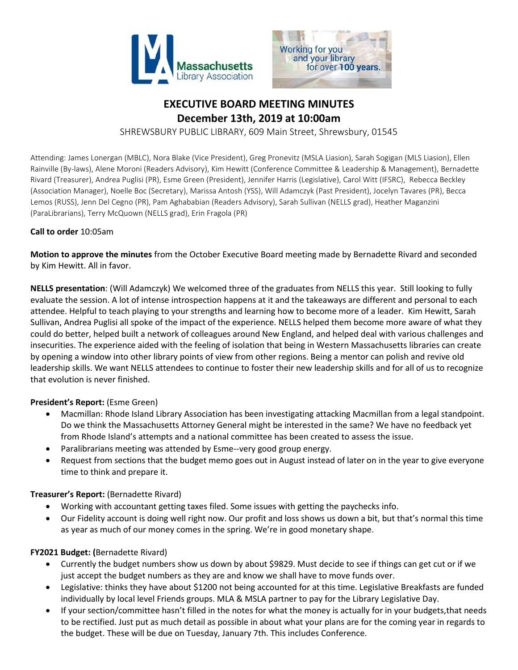



# **EXECUTIVE BOARD MEETING MINUTES December 13th, 2019 at 10:00am**

SHREWSBURY PUBLIC LIBRARY, 609 Main Street, Shrewsbury, 01545

Attending: James Lonergan (MBLC), Nora Blake (Vice President), Greg Pronevitz (MSLA Liasion), Sarah Sogigan (MLS Liasion), Ellen Rainville (By-laws), Alene Moroni (Readers Advisory), Kim Hewitt (Conference Committee & Leadership & Management), Bernadette Rivard (Treasurer), Andrea Puglisi (PR), Esme Green (President), Jennifer Harris (Legislative), Carol Witt (IFSRC), Rebecca Beckley (Association Manager), Noelle Boc (Secretary), Marissa Antosh (YSS), Will Adamczyk (Past President), Jocelyn Tavares (PR), Becca Lemos (RUSS), Jenn Del Cegno (PR), Pam Aghababian (Readers Advisory), Sarah Sullivan (NELLS grad), Heather Maganzini (ParaLibrarians), Terry McQuown (NELLS grad), Erin Fragola (PR)

### **Call to order** 10:05am

**Motion to approve the minutes** from the October Executive Board meeting made by Bernadette Rivard and seconded by Kim Hewitt. All in favor.

**NELLS presentation**: (Will Adamczyk) We welcomed three of the graduates from NELLS this year. Still looking to fully evaluate the session. A lot of intense introspection happens at it and the takeaways are different and personal to each attendee. Helpful to teach playing to your strengths and learning how to become more of a leader. Kim Hewitt, Sarah Sullivan, Andrea Puglisi all spoke of the impact of the experience. NELLS helped them become more aware of what they could do better, helped built a network of colleagues around New England, and helped deal with various challenges and insecurities. The experience aided with the feeling of isolation that being in Western Massachusetts libraries can create by opening a window into other library points of view from other regions. Being a mentor can polish and revive old leadership skills. We want NELLS attendees to continue to foster their new leadership skills and for all of us to recognize that evolution is never finished.

# **President's Report:** (Esme Green)

- Macmillan: Rhode Island Library Association has been investigating attacking Macmillan from a legal standpoint. Do we think the Massachusetts Attorney General might be interested in the same? We have no feedback yet from Rhode Island's attempts and a national committee has been created to assess the issue.
- Paralibrarians meeting was attended by Esme--very good group energy.
- Request from sections that the budget memo goes out in August instead of later on in the year to give everyone time to think and prepare it.

### **Treasurer's Report:** (Bernadette Rivard)

- Working with accountant getting taxes filed. Some issues with getting the paychecks info.
- Our Fidelity account is doing well right now. Our profit and loss shows us down a bit, but that's normal this time as year as much of our money comes in the spring. We're in good monetary shape.

### **FY2021 Budget: (**Bernadette Rivard)

- Currently the budget numbers show us down by about \$9829. Must decide to see if things can get cut or if we just accept the budget numbers as they are and know we shall have to move funds over.
- Legislative: thinks they have about \$1200 not being accounted for at this time. Legislative Breakfasts are funded individually by local level Friends groups. MLA & MSLA partner to pay for the Library Legislative Day.
- If your section/committee hasn't filled in the notes for what the money is actually for in your budgets,that needs to be rectified. Just put as much detail as possible in about what your plans are for the coming year in regards to the budget. These will be due on Tuesday, January 7th. This includes Conference.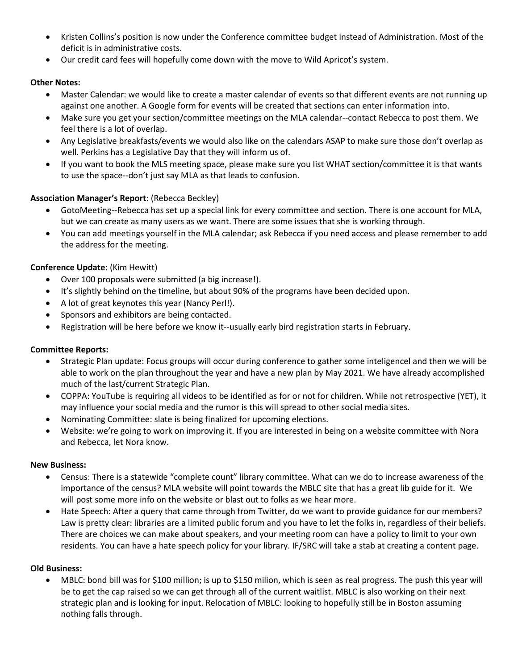- Kristen Collins's position is now under the Conference committee budget instead of Administration. Most of the deficit is in administrative costs.
- Our credit card fees will hopefully come down with the move to Wild Apricot's system.

# **Other Notes:**

- Master Calendar: we would like to create a master calendar of events so that different events are not running up against one another. A Google form for events will be created that sections can enter information into.
- Make sure you get your section/committee meetings on the MLA calendar--contact Rebecca to post them. We feel there is a lot of overlap.
- Any Legislative breakfasts/events we would also like on the calendars ASAP to make sure those don't overlap as well. Perkins has a Legislative Day that they will inform us of.
- If you want to book the MLS meeting space, please make sure you list WHAT section/committee it is that wants to use the space--don't just say MLA as that leads to confusion.

# **Association Manager's Report**: (Rebecca Beckley)

- GotoMeeting--Rebecca has set up a special link for every committee and section. There is one account for MLA, but we can create as many users as we want. There are some issues that she is working through.
- You can add meetings yourself in the MLA calendar; ask Rebecca if you need access and please remember to add the address for the meeting.

# **Conference Update**: (Kim Hewitt)

- Over 100 proposals were submitted (a big increase!).
- It's slightly behind on the timeline, but about 90% of the programs have been decided upon.
- A lot of great keynotes this year (Nancy Perl!).
- Sponsors and exhibitors are being contacted.
- Registration will be here before we know it--usually early bird registration starts in February.

# **Committee Reports:**

- Strategic Plan update: Focus groups will occur during conference to gather some inteligencel and then we will be able to work on the plan throughout the year and have a new plan by May 2021. We have already accomplished much of the last/current Strategic Plan.
- COPPA: YouTube is requiring all videos to be identified as for or not for children. While not retrospective (YET), it may influence your social media and the rumor is this will spread to other social media sites.
- Nominating Committee: slate is being finalized for upcoming elections.
- Website: we're going to work on improving it. If you are interested in being on a website committee with Nora and Rebecca, let Nora know.

# **New Business:**

- Census: There is a statewide "complete count" library committee. What can we do to increase awareness of the importance of the census? MLA website will point towards the MBLC site that has a great lib guide for it. We will post some more info on the website or blast out to folks as we hear more.
- Hate Speech: After a query that came through from Twitter, do we want to provide guidance for our members? Law is pretty clear: libraries are a limited public forum and you have to let the folks in, regardless of their beliefs. There are choices we can make about speakers, and your meeting room can have a policy to limit to your own residents. You can have a hate speech policy for your library. IF/SRC will take a stab at creating a content page.

# **Old Business:**

 MBLC: bond bill was for \$100 million; is up to \$150 milion, which is seen as real progress. The push this year will be to get the cap raised so we can get through all of the current waitlist. MBLC is also working on their next strategic plan and is looking for input. Relocation of MBLC: looking to hopefully still be in Boston assuming nothing falls through.